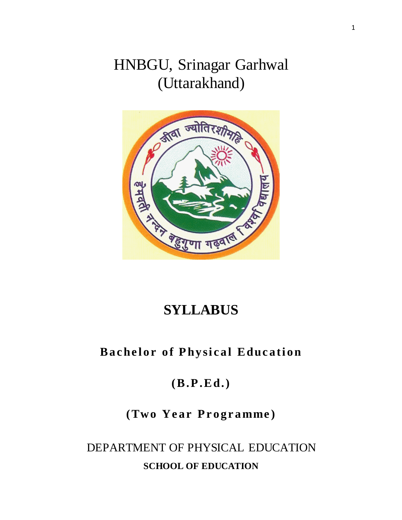# HNBGU, Srinagar Garhwal (Uttarakhand)



# **SYLLABUS**

## **Bachelor of Physical Education**

## **(B.P .Ed.)**

## $(Two Year Programme)$

# DEPARTMENT OF PHYSICAL EDUCATION **SCHOOL OF EDUCATION**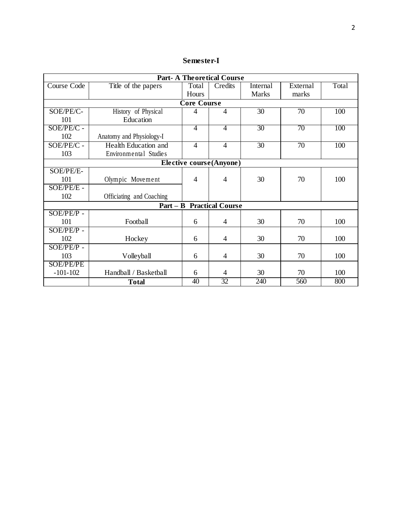| Semester-I |
|------------|
|------------|

| <b>Part-A Theoretical Course</b> |                          |                    |                                  |                 |                 |       |  |
|----------------------------------|--------------------------|--------------------|----------------------------------|-----------------|-----------------|-------|--|
| Course Code                      | Title of the papers      | Total              | Credits                          | Internal        | External        | Total |  |
|                                  |                          | Hours              |                                  | <b>Marks</b>    | marks           |       |  |
|                                  |                          | <b>Core Course</b> |                                  |                 |                 |       |  |
| SOE/PE/C-                        | History of Physical      | 4                  | 4                                | $\overline{30}$ | $\overline{70}$ | 100   |  |
| 101                              | Education                |                    |                                  |                 |                 |       |  |
| SOE/PE/C -                       |                          | $\overline{4}$     | $\overline{4}$                   | $\overline{30}$ | $\overline{70}$ | 100   |  |
| 102                              | Anatomy and Physiology-I |                    |                                  |                 |                 |       |  |
| $SOE/PE/\overline{C}$ -          | Health Education and     | 4                  | $\overline{4}$                   | 30              | 70              | 100   |  |
| 103                              | Environmental Studies    |                    |                                  |                 |                 |       |  |
|                                  |                          |                    | Elective course(Anyone)          |                 |                 |       |  |
| SOE/PE/E-                        |                          |                    |                                  |                 |                 |       |  |
| 101                              | Olympic Movement         | 4                  | 4                                | 30              | 70              | 100   |  |
| SOE/PE/E -                       |                          |                    |                                  |                 |                 |       |  |
| 102                              | Officiating and Coaching |                    |                                  |                 |                 |       |  |
|                                  |                          |                    | <b>Part - B Practical Course</b> |                 |                 |       |  |
| $SOE/PE/P$ -                     |                          |                    |                                  |                 |                 |       |  |
| 101                              | Football                 | 6                  | 4                                | 30              | 70              | 100   |  |
| $SOE/PE/P$ -                     |                          |                    |                                  |                 |                 |       |  |
| 102                              | Hockey                   | 6                  | $\overline{4}$                   | 30              | 70              | 100   |  |
| $SOE/PE/P$ -                     |                          |                    |                                  |                 |                 |       |  |
| 103                              | Volleyball               | 6                  | 4                                | 30              | 70              | 100   |  |
| <b>SOE/PE/PE</b>                 |                          |                    |                                  |                 |                 |       |  |
| $-101-102$                       | Handball / Basketball    | 6                  | $\overline{4}$                   | 30              | 70              | 100   |  |
|                                  | <b>Total</b>             | 40                 | 32                               | 240             | 560             | 800   |  |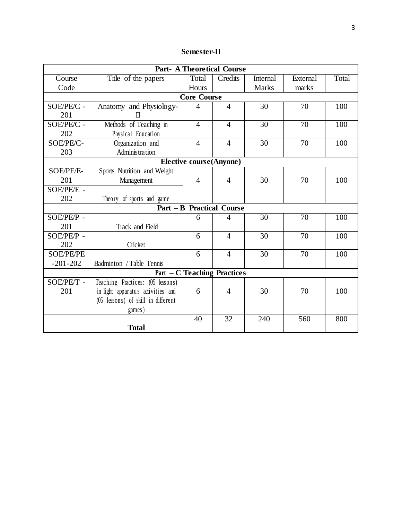| <b>Semester-II</b> |  |
|--------------------|--|
|--------------------|--|

| <b>Part- A Theoretical Course</b>  |                                    |                |                                  |                 |          |       |  |  |  |
|------------------------------------|------------------------------------|----------------|----------------------------------|-----------------|----------|-------|--|--|--|
| Course                             | Title of the papers                | Total          | Credits                          | <b>Internal</b> | External | Total |  |  |  |
| Code                               |                                    | Hours          |                                  | <b>Marks</b>    | marks    |       |  |  |  |
|                                    | <b>Core Course</b>                 |                |                                  |                 |          |       |  |  |  |
| SOE/PE/C -                         | Anatomy and Physiology-            | 4              | $\overline{4}$                   | 30              | 70       | 100   |  |  |  |
| 201                                | $\Pi$                              |                |                                  |                 |          |       |  |  |  |
| SOE/PE/C -                         | Methods of Teaching in             | $\overline{4}$ | $\overline{4}$                   | 30              | 70       | 100   |  |  |  |
| 202                                | Physical Education                 |                |                                  |                 |          |       |  |  |  |
| SOE/PE/C-                          | Organization and                   | $\overline{4}$ | $\overline{4}$                   | 30              | 70       | 100   |  |  |  |
| 203                                | Administration                     |                |                                  |                 |          |       |  |  |  |
|                                    | <b>Elective course(Anyone)</b>     |                |                                  |                 |          |       |  |  |  |
| SOE/PE/E-                          | Sports Nutrition and Weight        |                |                                  |                 |          |       |  |  |  |
| 201                                | Management                         | $\overline{4}$ | $\overline{4}$                   | 30              | 70       | 100   |  |  |  |
| SOE/PE/E -                         |                                    |                |                                  |                 |          |       |  |  |  |
| 202                                | Theory of sports and game          |                |                                  |                 |          |       |  |  |  |
|                                    |                                    |                | <b>Part - B Practical Course</b> |                 |          |       |  |  |  |
| SOE/PE/P -                         |                                    | 6              | 4                                | 30              | 70       | 100   |  |  |  |
| 201                                | Track and Field                    |                |                                  |                 |          |       |  |  |  |
| SOE/PE/P -                         |                                    | 6              | $\overline{4}$                   | 30              | 70       | 100   |  |  |  |
| 202                                | Cricket                            |                |                                  |                 |          |       |  |  |  |
| <b>SOE/PE/PE</b>                   |                                    | 6              | $\overline{4}$                   | 30              | 70       | 100   |  |  |  |
| $-201-202$                         | Badminton / Table Tennis           |                |                                  |                 |          |       |  |  |  |
| <b>Part – C Teaching Practices</b> |                                    |                |                                  |                 |          |       |  |  |  |
| SOE/PE/T -                         | Teaching Practices: (05 lessons)   |                |                                  |                 |          |       |  |  |  |
| 201                                | in light apparatus activities and  | 6              | 4                                | 30              | 70       | 100   |  |  |  |
|                                    | (05 lessons) of skill in different |                |                                  |                 |          |       |  |  |  |
|                                    | games)                             |                |                                  |                 |          |       |  |  |  |
|                                    |                                    | 40             | 32                               | 240             | 560      | 800   |  |  |  |
|                                    | <b>Total</b>                       |                |                                  |                 |          |       |  |  |  |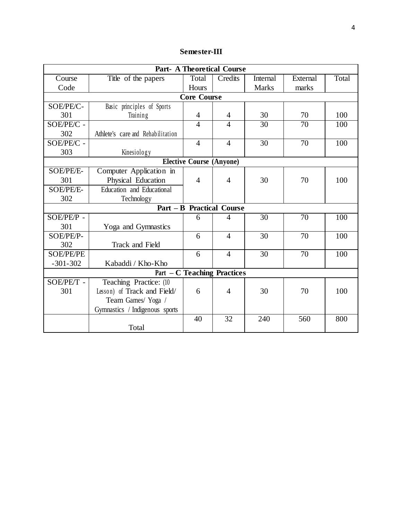## **Semester-III**

| <b>Part- A Theoretical Course</b>  |                                   |                    |                                  |                 |                 |       |  |
|------------------------------------|-----------------------------------|--------------------|----------------------------------|-----------------|-----------------|-------|--|
| Course                             | Title of the papers               | Total              | Credits                          | <b>Internal</b> | External        | Total |  |
| Code                               |                                   | Hours              |                                  | <b>Marks</b>    | marks           |       |  |
|                                    |                                   | <b>Core Course</b> |                                  |                 |                 |       |  |
| SOE/PE/C-                          | Basic principles of Sports        |                    |                                  |                 |                 |       |  |
| 301                                | Training                          | $\overline{4}$     | 4                                | 30              | 70              | 100   |  |
| SOE/PE/C -                         |                                   | $\overline{4}$     | $\overline{4}$                   | 30              | 70              | 100   |  |
| 302                                | Athlete's care and Rehabilitation |                    |                                  |                 |                 |       |  |
| SOE/PE/C -                         |                                   | $\overline{4}$     | $\overline{4}$                   | 30              | 70              | 100   |  |
| 303                                | Kinesiology                       |                    |                                  |                 |                 |       |  |
| <b>Elective Course (Anyone)</b>    |                                   |                    |                                  |                 |                 |       |  |
| <b>SOE/PE/E-</b>                   | Computer Application in           |                    |                                  |                 |                 |       |  |
| 301                                | Physical Education                | $\overline{4}$     | $\overline{4}$                   | 30              | 70              | 100   |  |
| SOE/PE/E-                          | Education and Educational         |                    |                                  |                 |                 |       |  |
| 302                                | Technology                        |                    |                                  |                 |                 |       |  |
|                                    |                                   |                    | <b>Part - B Practical Course</b> |                 |                 |       |  |
| SOE/PE/P -                         |                                   | 6                  | 4                                | 30              | $\overline{70}$ | 100   |  |
| 301                                | Yoga and Gymnastics               |                    |                                  |                 |                 |       |  |
| SOE/PE/P-                          |                                   | 6                  | $\overline{4}$                   | 30              | 70              | 100   |  |
| 302                                | Track and Field                   |                    |                                  |                 |                 |       |  |
| <b>SOE/PE/PE</b>                   |                                   | 6                  | $\overline{4}$                   | 30              | 70              | 100   |  |
| $-301-302$                         | Kabaddi / Kho-Kho                 |                    |                                  |                 |                 |       |  |
| <b>Part – C Teaching Practices</b> |                                   |                    |                                  |                 |                 |       |  |
| SOE/PE/T -                         | Teaching Practice: (10            |                    |                                  |                 |                 |       |  |
| 301                                | Lesson) of Track and Field/       | 6                  | 4                                | 30              | 70              | 100   |  |
|                                    | Team Games/Yoga /                 |                    |                                  |                 |                 |       |  |
|                                    | Gymnastics / Indigenous sports    |                    |                                  |                 |                 |       |  |
|                                    |                                   | 40                 | 32                               | 240             | 560             | 800   |  |
|                                    | Total                             |                    |                                  |                 |                 |       |  |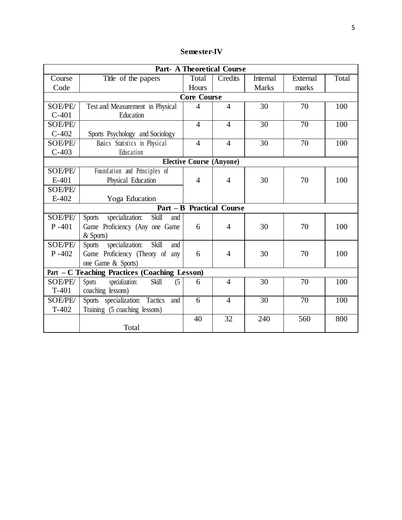| <b>Semester-IV</b> |
|--------------------|
|--------------------|

| <b>Part- A Theoretical Course</b> |                                                  |                    |                                  |                 |                 |       |  |
|-----------------------------------|--------------------------------------------------|--------------------|----------------------------------|-----------------|-----------------|-------|--|
| Course                            | Title of the papers                              | Total              | Credits                          | <b>Internal</b> | External        | Total |  |
| Code                              |                                                  | Hours              |                                  | <b>Marks</b>    | marks           |       |  |
|                                   |                                                  | <b>Core Course</b> |                                  |                 |                 |       |  |
| SOE/PE/                           | Test and Measurement in Physical                 | $\overline{4}$     | $\overline{4}$                   | 30              | 70              | 100   |  |
| $C-401$                           | Education                                        |                    |                                  |                 |                 |       |  |
| SOE/PE/                           |                                                  | $\overline{4}$     | $\overline{4}$                   | 30              | 70              | 100   |  |
| $C-402$                           | Sports Psychology and Sociology                  |                    |                                  |                 |                 |       |  |
| SOE/PE/                           | Basics Statistics in Physical                    | $\overline{4}$     | $\overline{4}$                   | 30              | 70              | 100   |  |
| $C-403$                           | Education                                        |                    |                                  |                 |                 |       |  |
|                                   |                                                  |                    | <b>Elective Course (Anyone)</b>  |                 |                 |       |  |
| SOE/PE/                           | Foundation and Principles of                     |                    |                                  |                 |                 |       |  |
| E-401                             | Physical Education                               | $\overline{4}$     | $\overline{4}$                   | 30              | 70              | 100   |  |
| <b>SOE/PE/</b>                    |                                                  |                    |                                  |                 |                 |       |  |
| E-402                             | Yoga Education                                   |                    |                                  |                 |                 |       |  |
|                                   |                                                  |                    | <b>Part - B Practical Course</b> |                 |                 |       |  |
| SOE/PE/                           | Skill<br>specialization:<br><b>Sports</b><br>and |                    |                                  |                 |                 |       |  |
| $P - 401$                         | Game Proficiency (Any one Game                   | 6                  | $\overline{4}$                   | 30              | 70              | 100   |  |
|                                   | & Sports)                                        |                    |                                  |                 |                 |       |  |
| SOE/PE/                           | specialization:<br>Skill<br><b>Sports</b><br>and |                    |                                  |                 |                 |       |  |
| $P - 402$                         | Game Proficiency (Theory of any                  | 6                  | $\overline{4}$                   | 30              | 70              | 100   |  |
|                                   | one Game & Sports)                               |                    |                                  |                 |                 |       |  |
|                                   | Part - C Teaching Practices (Coaching Lesson)    |                    |                                  |                 |                 |       |  |
| SOE/PE/                           | specialization:<br>Skill<br>Sports<br>(5)        | 6                  | $\overline{4}$                   | 30              | 70              | 100   |  |
| $T-401$                           | coaching lessons)                                |                    |                                  |                 |                 |       |  |
| SOE/PE/                           | Sports specialization:<br>Tactics<br>and         | 6                  | $\overline{4}$                   | $\overline{30}$ | $\overline{70}$ | 100   |  |
| $T-402$                           | Training (5 coaching lessons)                    |                    |                                  |                 |                 |       |  |
|                                   |                                                  | 40                 | 32                               | 240             | 560             | 800   |  |
|                                   | Total                                            |                    |                                  |                 |                 |       |  |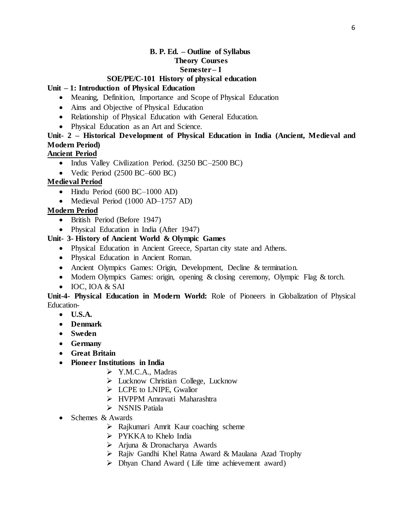## **B. P. Ed. – Outline of Syllabus Theory Courses Semester – I**

## **SOE/PE/C-101 History of physical education**

## **Unit – 1: Introduction of Physical Education**

- Meaning, Definition, Importance and Scope of Physical Education
- Aims and Objective of Physical Education
- Relationship of Physical Education with General Education.
- Physical Education as an Art and Science.

## **Unit- 2 – Historical Development of Physical Education in India (Ancient, Medieval and Modern Period)**

#### **Ancient Period**

- Indus Valley Civilization Period. (3250 BC–2500 BC)
- Vedic Period (2500 BC–600 BC)

## **Medieval Period**

- Hindu Period (600 BC-1000 AD)
- Medieval Period (1000 AD–1757 AD)

#### **Modern Period**

- British Period (Before 1947)
- Physical Education in India (After 1947)

## **Unit- 3- History of Ancient World & Olympic Games**

- Physical Education in Ancient Greece, Spartan city state and Athens.
- Physical Education in Ancient Roman.
- Ancient Olympics Games: Origin, Development, Decline & termination.
- Modern Olympics Games: origin, opening & closing ceremony, Olympic Flag & torch.
- IOC, IOA & SAI

**Unit-4- Physical Education in Modern World:** Role of Pioneers in Globalization of Physical Education-

- **U.S.A.**
- **Denmark**
- **Sweden**
- **Germany**
- **Great Britain**
- **Pioneer Institutions in India**
	- Y.M.C.A., Madras
	- Lucknow Christian College, Lucknow
	- $\triangleright$  LCPE to LNIPE, Gwalior
	- HVPPM Amravati Maharashtra
	- $\triangleright$  NSNIS Patiala
- Schemes & Awards
	- $\triangleright$  Rajkumari Amrit Kaur coaching scheme
	- > PYKKA to Khelo India
	- Arjuna & Dronacharya Awards
	- Rajiv Gandhi Khel Ratna Award & Maulana Azad Trophy
	- $\triangleright$  Dhyan Chand Award (Life time achievement award)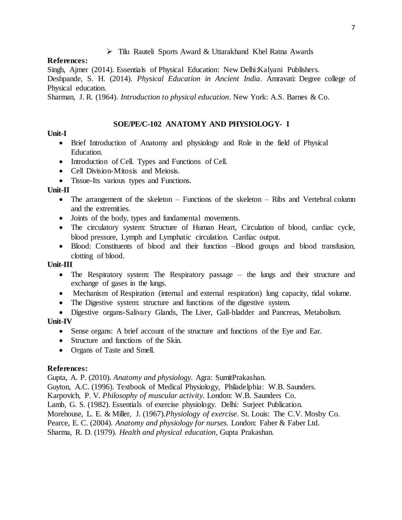#### Tilu Rauteli Sports Award & Uttarakhand Khel Ratna Awards

#### **References:**

Singh, Ajmer (2014). Essentials of Physical Education: New Delhi:Kalyani Publishers. Deshpande, S. H. (2014). *Physical Education in Ancient India*. Amravati: Degree college of

Physical education.

Sharman, J. R. (1964). *Introduction to physical education*. New York: A.S. Barnes & Co.

#### **SOE/PE/C-102 ANATOMY AND PHYSIOLOGY- I**

### **Unit-I**

- Brief Introduction of Anatomy and physiology and Role in the field of Physical Education.
- Introduction of Cell. Types and Functions of Cell.
- Cell Division-Mitosis and Meiosis.
- Tissue-Its various types and Functions.

## **Unit-II**

- The arrangement of the skeleton Functions of the skeleton Ribs and Vertebral column and the extremities.
- Joints of the body, types and fundamental movements.
- The circulatory system: Structure of Human Heart, Circulation of blood, cardiac cycle, blood pressure, Lymph and Lymphatic circulation. Cardiac output.
- Blood: Constituents of blood and their function –Blood groups and blood transfusion, clotting of blood.

## **Unit-III**

- The Respiratory system: The Respiratory passage the lungs and their structure and exchange of gases in the lungs.
- Mechanism of Respiration (internal and external respiration) lung capacity, tidal volume.
- The Digestive system: structure and functions of the digestive system.

 Digestive organs-Salivary Glands, The Liver, Gall-bladder and Pancreas, Metabolism. **Unit-IV**

- Sense organs: A brief account of the structure and functions of the Eye and Ear.
- Structure and functions of the Skin.
- Organs of Taste and Smell.

## **References:**

Gupta, A. P. (2010). *Anatomy and physiology.* Agra: SumitPrakashan. Guyton, A.C. (1996). Textbook of Medical Physiology, Philadelphia: W.B. Saunders. Karpovich, P. V. *Philosophy of muscular activity.* London: W.B. Saunders Co. Lamb, G. S. (1982). Essentials of exercise physiology. Delhi: Surjeet Publication. Morehouse, L. E. & Miller, J. (1967).*Physiology of exercise*. St. Louis: The C.V. Mosby Co. Pearce, E. C. (2004). *Anatomy and physiology for nurses.* London: Faber & Faber Ltd. Sharma, R. D. (1979). *Health and physical education,* Gupta Prakashan.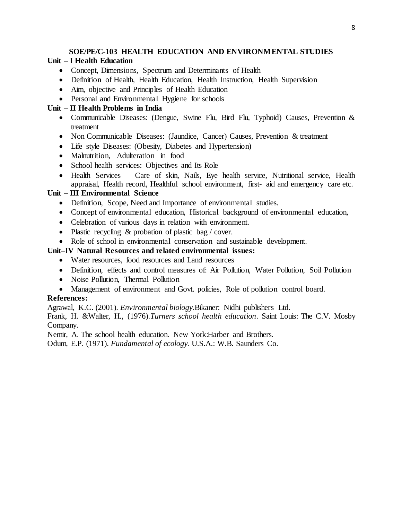## **SOE/PE/C-103 HEALTH EDUCATION AND ENVIRONMENTAL STUDIES**

## **Unit – I Health Education**

- Concept, Dimensions, Spectrum and Determinants of Health
- Definition of Health, Health Education, Health Instruction, Health Supervision
- Aim, objective and Principles of Health Education
- Personal and Environmental Hygiene for schools

## **Unit – II Health Problems in India**

- Communicable Diseases: (Dengue, Swine Flu, Bird Flu, Typhoid) Causes, Prevention & treatment
- Non Communicable Diseases: (Jaundice, Cancer) Causes, Prevention & treatment
- Life style Diseases: (Obesity, Diabetes and Hypertension)
- Malnutrition, Adulteration in food
- School health services: Objectives and Its Role
- Health Services Care of skin, Nails, Eye health service, Nutritional service, Health appraisal, Health record, Healthful school environment, first- aid and emergency care etc.

## **Unit – III Environmental Science**

- Definition, Scope, Need and Importance of environmental studies.
- Concept of environmental education, Historical background of environmental education,
- Celebration of various days in relation with environment.
- Plastic recycling & probation of plastic bag / cover.
- Role of school in environmental conservation and sustainable development.

## **Unit–IV Natural Resources and related environmental issues:**

- Water resources, food resources and Land resources
- Definition, effects and control measures of: Air Pollution, Water Pollution, Soil Pollution
- Noise Pollution, Thermal Pollution
- Management of environment and Govt. policies, Role of pollution control board.

## **References:**

Agrawal, K.C. (2001). *Environmental biology*.Bikaner: Nidhi publishers Ltd.

Frank, H. &Walter, H., (1976).*Turners school health education*. Saint Louis: The C.V. Mosby Company.

Nemir, A. The school health education. New York:Harber and Brothers.

Odum, E.P. (1971). *Fundamental of ecology*. U.S.A.: W.B. Saunders Co.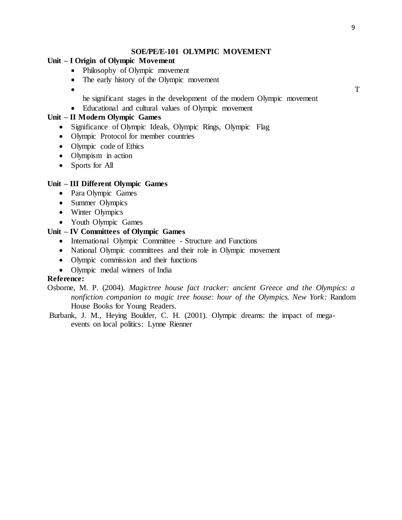#### **SOE/PE/E-101 OLYMPIC MOVEMENT**

#### **Unit – I Origin of Olympic Movement**

- Philosophy of Olympic movement
- The early history of the Olympic movement
- $\bullet$  T

he significant stages in the development of the modern Olympic movement

Educational and cultural values of Olympic movement

## **Unit – II Modern Olympic Games**

- Significance of Olympic Ideals, Olympic Rings, Olympic Flag
- Olympic Protocol for member countries
- Olympic code of Ethics
- Olympism in action
- Sports for All

#### **Unit – III Different Olympic Games**

- Para Olympic Games
- Summer Olympics
- Winter Olympics
- Youth Olympic Games

## **Unit – IV Committees of Olympic Games**

- International Olympic Committee Structure and Functions
- National Olympic committees and their role in Olympic movement
- Olympic commission and their functions
- Olympic medal winners of India

#### **Reference:**

- Osborne, M. P. (2004). *Magictree house fact tracker: ancient Greece and the Olympics: a nonfiction companion to magic tree house: hour of the Olympics. New York:* Random House Books for Young Readers.
- Burbank, J. M., Heying Boulder, C. H. (2001). Olympic dreams: the impact of megaevents on local politics: Lynne Rienner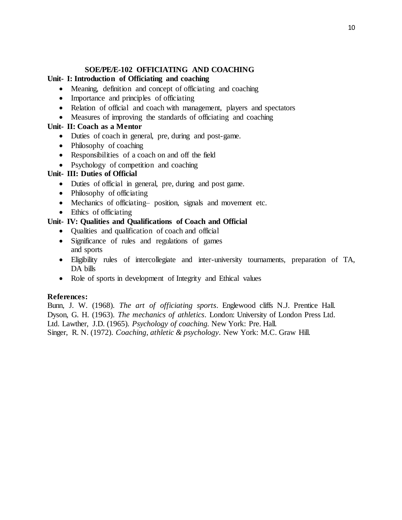#### **SOE/PE/E-102 OFFICIATING AND COACHING**

#### **Unit- I: Introduction of Officiating and coaching**

- Meaning, definition and concept of officiating and coaching
- Importance and principles of officiating
- Relation of official and coach with management, players and spectators
- Measures of improving the standards of officiating and coaching

#### **Unit- II: Coach as a Mentor**

- Duties of coach in general, pre, during and post-game.
- Philosophy of coaching
- Responsibilities of a coach on and off the field
- Psychology of competition and coaching

## **Unit- III: Duties of Official**

- Duties of official in general, pre, during and post game.
- Philosophy of officiating
- Mechanics of officiating– position, signals and movement etc.
- Ethics of officiating

### **Unit- IV: Qualities and Qualifications of Coach and Official**

- Qualities and qualification of coach and official
- Significance of rules and regulations of games and sports
- Eligibility rules of intercollegiate and inter-university tournaments, preparation of TA, DA bills
- Role of sports in development of Integrity and Ethical values

#### **References:**

Bunn, J. W. (1968). *The art of officiating sports*. Englewood cliffs N.J. Prentice Hall. Dyson, G. H. (1963). *The mechanics of athletics*. London: University of London Press Ltd. Ltd. Lawther, J.D. (1965). *Psychology of coaching.* New York: Pre. Hall. Singer, R. N. (1972). *Coaching, athletic & psychology*. New York: M.C. Graw Hill.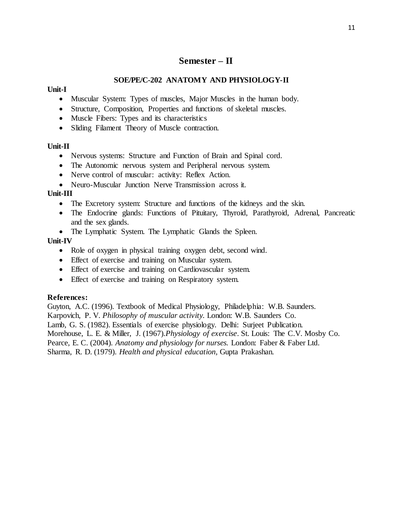## **Semester – II**

## **SOE/PE/C-202 ANATOMY AND PHYSIOLOGY-II**

#### **Unit-I**

- Muscular System: Types of muscles, Major Muscles in the human body.
- Structure, Composition, Properties and functions of skeletal muscles.
- Muscle Fibers: Types and its characteristics
- Sliding Filament Theory of Muscle contraction.

#### **Unit-II**

- Nervous systems: Structure and Function of Brain and Spinal cord.
- The Autonomic nervous system and Peripheral nervous system.
- Nerve control of muscular: activity: Reflex Action.
- Neuro-Muscular Junction Nerve Transmission across it.

#### **Unit-III**

- The Excretory system: Structure and functions of the kidneys and the skin.
- The Endocrine glands: Functions of Pituitary, Thyroid, Parathyroid, Adrenal, Pancreatic and the sex glands.
- The Lymphatic System. The Lymphatic Glands the Spleen.

#### **Unit-IV**

- Role of oxygen in physical training oxygen debt, second wind.
- Effect of exercise and training on Muscular system.
- Effect of exercise and training on Cardiovascular system.
- Effect of exercise and training on Respiratory system.

#### **References:**

Guyton, A.C. (1996). Textbook of Medical Physiology, Philadelphia: W.B. Saunders. Karpovich, P. V. *Philosophy of muscular activity.* London: W.B. Saunders Co. Lamb, G. S. (1982). Essentials of exercise physiology. Delhi: Surjeet Publication. Morehouse, L. E. & Miller, J. (1967).*Physiology of exercise*. St. Louis: The C.V. Mosby Co. Pearce, E. C. (2004). *Anatomy and physiology for nurses.* London: Faber & Faber Ltd. Sharma, R. D. (1979). *Health and physical education,* Gupta Prakashan.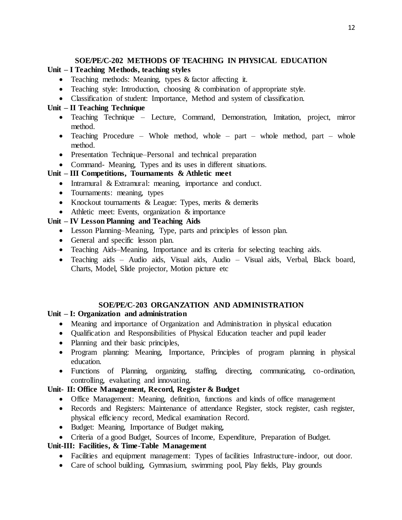## **SOE/PE/C-202 METHODS OF TEACHING IN PHYSICAL EDUCATION**

## **Unit – I Teaching Methods, teaching styles**

- Teaching methods: Meaning, types & factor affecting it.
- Teaching style: Introduction, choosing & combination of appropriate style.
- Classification of student: Importance, Method and system of classification.

## **Unit – II Teaching Technique**

- Teaching Technique Lecture, Command, Demonstration, Imitation, project, mirror method.
- Teaching Procedure Whole method, whole part whole method, part whole method.
- Presentation Technique–Personal and technical preparation
- Command- Meaning, Types and its uses in different situations.

## **Unit – III Competitions, Tournaments & Athletic meet**

- Intramural & Extramural: meaning, importance and conduct.
- Tournaments: meaning, types
- Knockout tournaments & League: Types, merits & demerits
- Athletic meet: Events, organization & importance

## **Unit – IV Lesson Planning and Teaching Aids**

- Lesson Planning–Meaning, Type, parts and principles of lesson plan.
- General and specific lesson plan.
- Teaching Aids–Meaning, Importance and its criteria for selecting teaching aids.
- Teaching aids Audio aids, Visual aids, Audio Visual aids, Verbal, Black board, Charts, Model, Slide projector, Motion picture etc

## **SOE/PE/C**-**203 ORGANZATION AND ADMINISTRATION**

## **Unit – I: Organization and administration**

- Meaning and importance of Organization and Administration in physical education
- Qualification and Responsibilities of Physical Education teacher and pupil leader
- Planning and their basic principles,
- Program planning: Meaning, Importance, Principles of program planning in physical education.
- Functions of Planning, organizing, staffing, directing, communicating, co-ordination, controlling, evaluating and innovating.

## **Unit- II: Office Management, Record, Register & Budget**

- Office Management: Meaning, definition, functions and kinds of office management
- Records and Registers: Maintenance of attendance Register, stock register, cash register, physical efficiency record, Medical examination Record.
- Budget: Meaning, Importance of Budget making,
- Criteria of a good Budget, Sources of Income, Expenditure, Preparation of Budget.

## **Unit-III: Facilities, & Time-Table Management**

- Facilities and equipment management: Types of facilities Infrastructure-indoor, out door.
- Care of school building, Gymnasium, swimming pool, Play fields, Play grounds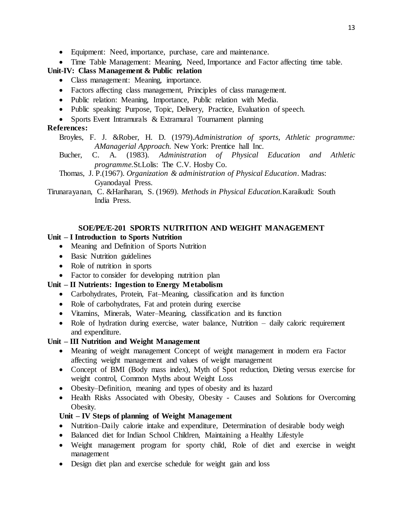- Equipment: Need, importance, purchase, care and maintenance.
- Time Table Management: Meaning, Need, Importance and Factor affecting time table.

## **Unit-IV: Class Management & Public relation**

- Class management: Meaning, importance.
- Factors affecting class management, Principles of class management.
- Public relation: Meaning, Importance, Public relation with Media.
- Public speaking: Purpose, Topic, Delivery, Practice, Evaluation of speech.
- Sports Event Intramurals & Extramural Tournament planning

### **References:**

- Broyles, F. J. &Rober, H. D. (1979).*Administration of sports, Athletic programme: AManagerial Approach.* New York: Prentice hall Inc.
- Bucher, C. A. (1983). *Administration of Physical Education and Athletic programme.*St.Lolis: The C.V. Hosby Co.
- Thomas, J. P.(1967). *Organization & administration of Physical Education*. Madras: Gyanodayal Press.

Tirunarayanan, C. &Hariharan, S. (1969). *Methods in Physical Education.*Karaikudi: South India Press.

## **SOE/PE/E-201 SPORTS NUTRITION AND WEIGHT MANAGEMENT**

#### **Unit – I Introduction to Sports Nutrition**

- Meaning and Definition of Sports Nutrition
- Basic Nutrition guidelines
- Role of nutrition in sports
- Factor to consider for developing nutrition plan

#### **Unit – II Nutrients: Ingestion to Energy Metabolism**

- Carbohydrates, Protein, Fat–Meaning, classification and its function
- Role of carbohydrates, Fat and protein during exercise
- Vitamins, Minerals, Water–Meaning, classification and its function
- Role of hydration during exercise, water balance, Nutrition daily caloric requirement and expenditure.

## **Unit – III Nutrition and Weight Management**

- Meaning of weight management Concept of weight management in modern era Factor affecting weight management and values of weight management
- Concept of BMI (Body mass index), Myth of Spot reduction, Dieting versus exercise for weight control, Common Myths about Weight Loss
- Obesity–Definition, meaning and types of obesity and its hazard
- Health Risks Associated with Obesity, Obesity Causes and Solutions for Overcoming Obesity.

## **Unit – IV Steps of planning of Weight Management**

- Nutrition–Daily calorie intake and expenditure, Determination of desirable body weigh
- Balanced diet for Indian School Children, Maintaining a Healthy Lifestyle
- Weight management program for sporty child, Role of diet and exercise in weight management
- Design diet plan and exercise schedule for weight gain and loss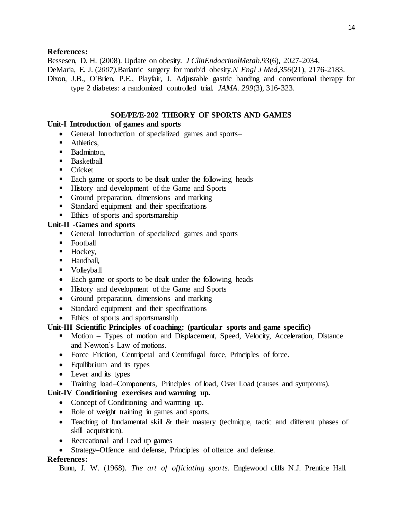#### **References:**

Bessesen, D. H. (2008). Update on obesity. *J ClinEndocrinolMetab.93*(6), 2027-2034. DeMaria, E. J. (*2007).*Bariatric surgery for morbid obesity.*N Engl J Med,356*(21), 2176-2183. Dixon, J.B., O'Brien, P.E., Playfair, J. Adjustable gastric banding and conventional therapy for type 2 diabetes: a randomized controlled trial. *JAMA. 299*(3), 316-323.

#### **SOE/PE/E**-**202 THEORY OF SPORTS AND GAMES**

#### **Unit-I Introduction of games and sports**

- General Introduction of specialized games and sports–
- Athletics,
- **Badminton,**
- **Basketball**
- **Cricket**
- Each game or sports to be dealt under the following heads
- History and development of the Game and Sports
- Ground preparation, dimensions and marking
- Standard equipment and their specifications
- **Ethics** of sports and sportsmanship

#### **Unit-II -Games and sports**

- General Introduction of specialized games and sports
- Football
- $\blacksquare$  Hockey,
- Handball,
- **volleyball**
- Each game or sports to be dealt under the following heads
- History and development of the Game and Sports
- Ground preparation, dimensions and marking
- Standard equipment and their specifications
- Ethics of sports and sportsmanship

#### **Unit-III Scientific Principles of coaching: (particular sports and game specific)**

- Motion Types of motion and Displacement, Speed, Velocity, Acceleration, Distance and Newton's Law of motions.
- Force–Friction, Centripetal and Centrifugal force, Principles of force.
- Equilibrium and its types
- Lever and its types
- Training load–Components, Principles of load, Over Load (causes and symptoms).

## **Unit-IV Conditioning exercises and warming up.**

- Concept of Conditioning and warming up.
- Role of weight training in games and sports.
- Teaching of fundamental skill & their mastery (technique, tactic and different phases of skill acquisition).
- Recreational and Lead up games
- Strategy–Offence and defense, Principles of offence and defense.

#### **References:**

Bunn, J. W. (1968). *The art of officiating sports*. Englewood cliffs N.J. Prentice Hall.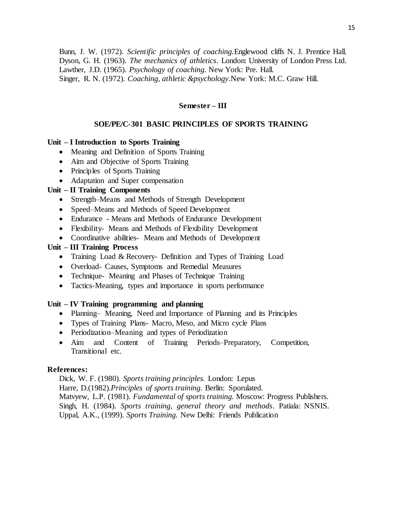Bunn, J. W. (1972). *Scientific principles of coaching.*Englewood cliffs N. J. Prentice Hall. Dyson, G. H. (1963). *The mechanics of athletics*. London: University of London Press Ltd. Lawther, J.D. (1965). *Psychology of coaching.* New York: Pre. Hall. Singer, R. N. (1972). *Coaching, athletic &psychology*.New York: M.C. Graw Hill.

#### **Semester – III**

#### **SOE/PE/C**-**301 BASIC PRINCIPLES OF SPORTS TRAINING**

#### **Unit – I Introduction to Sports Training**

- Meaning and Definition of Sports Training
- Aim and Objective of Sports Training
- Principles of Sports Training
- Adaptation and Super compensation

#### **Unit – II Training Components**

- Strength–Means and Methods of Strength Development
- Speed–Means and Methods of Speed Development
- Endurance Means and Methods of Endurance Development
- Flexibility- Means and Methods of Flexibility Development
- Coordinative abilities- Means and Methods of Development

#### **Unit – III Training Process**

- Training Load & Recovery- Definition and Types of Training Load
- Overload- Causes, Symptoms and Remedial Measures
- Technique- Meaning and Phases of Technique Training
- Tactics-Meaning, types and importance in sports performance

#### **Unit – IV Training programming and planning**

- Planning– Meaning, Need and Importance of Planning and its Principles
- Types of Training Plans- Macro, Meso, and Micro cycle Plans
- Periodization–Meaning and types of Periodization
- Aim and Content of Training Periods–Preparatory, Competition, Transitional etc.

#### **References:**

Dick, W. F. (1980). *Sports training principles.* London: Lepus Harre, D.(1982).*Principles of sports training.* Berlin: Sporulated. Matvyew, L.P. (1981). *Fundamental of sports training.* Moscow: Progress Publishers. Singh, H. (1984). *Sports training, general theory and methods*. Patiala: NSNIS. Uppal, A.K., (1999). *Sports Training.* New Delhi: Friends Publication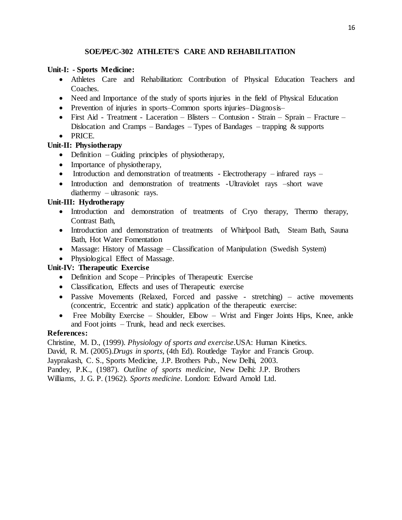## **SOE/PE/C-302 ATHLETE'S CARE AND REHABILITATION**

## **Unit-I: - Sports Medicine:**

- Athletes Care and Rehabilitation: Contribution of Physical Education Teachers and Coaches.
- Need and Importance of the study of sports injuries in the field of Physical Education
- Prevention of injuries in sports–Common sports injuries–Diagnosis–
- First Aid Treatment Laceration Blisters Contusion Strain Sprain Fracture Dislocation and Cramps – Bandages – Types of Bandages – trapping  $\&$  supports
- PRICE.

## **Unit-II: Physiotherapy**

- Definition Guiding principles of physiotherapy,
- Importance of physiotherapy,
- Introduction and demonstration of treatments Electrotherapy infrared rays –
- Introduction and demonstration of treatments -Ultraviolet rays -short wave diathermy – ultrasonic rays.

## **Unit-III: Hydrotherapy**

- Introduction and demonstration of treatments of Cryo therapy, Thermo therapy, Contrast Bath,
- Introduction and demonstration of treatments of Whirlpool Bath, Steam Bath, Sauna Bath, Hot Water Fomentation
- Massage: History of Massage Classification of Manipulation (Swedish System)
- Physiological Effect of Massage.

## **Unit-IV: Therapeutic Exercise**

- Definition and Scope Principles of Therapeutic Exercise
- Classification, Effects and uses of Therapeutic exercise
- Passive Movements (Relaxed, Forced and passive stretching) active movements (concentric, Eccentric and static) application of the therapeutic exercise:
- Free Mobility Exercise Shoulder, Elbow Wrist and Finger Joints Hips, Knee, ankle and Foot joints – Trunk, head and neck exercises.

## **References:**

Christine, M. D., (1999). *Physiology of sports and exercise*.USA: Human Kinetics.

David, R. M. (2005).*Drugs in sports,* (4th Ed). Routledge Taylor and Francis Group.

Jayprakash, C. S., Sports Medicine, J.P. Brothers Pub., New Delhi, 2003.

Pandey, P.K., (1987). *Outline of sports medicine*, New Delhi: J.P. Brothers

Williams, J. G. P. (1962). *Sports medicine*. London: Edward Arnold Ltd.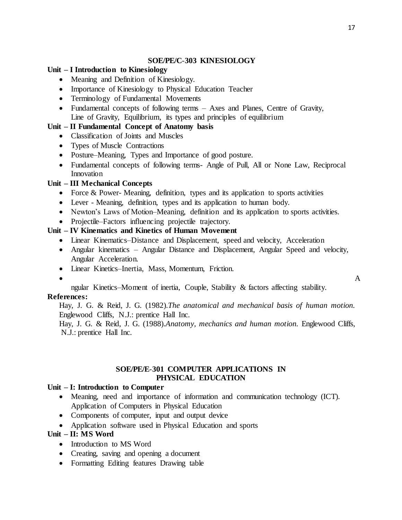#### **SOE/PE/C**-**303 KINESIOLOGY**

#### **Unit – I Introduction to Kinesiology**

- Meaning and Definition of Kinesiology.
- Importance of Kinesiology to Physical Education Teacher
- Terminology of Fundamental Movements
- Fundamental concepts of following terms Axes and Planes, Centre of Gravity, Line of Gravity, Equilibrium, its types and principles of equilibrium

## **Unit – II Fundamental Concept of Anatomy basis**

- Classification of Joints and Muscles
- Types of Muscle Contractions
- Posture–Meaning, Types and Importance of good posture.
- Fundamental concepts of following terms- Angle of Pull, All or None Law, Reciprocal Innovation

#### **Unit – III Mechanical Concepts**

- Force & Power- Meaning, definition, types and its application to sports activities
- Lever Meaning, definition, types and its application to human body.
- Newton's Laws of Motion–Meaning, definition and its application to sports activities.
- Projectile–Factors influencing projectile trajectory.

## **Unit – IV Kinematics and Kinetics of Human Movement**

- Linear Kinematics–Distance and Displacement, speed and velocity, Acceleration
- Angular kinematics Angular Distance and Displacement, Angular Speed and velocity, Angular Acceleration.
- Linear Kinetics–Inertia, Mass, Momentum, Friction.

 $\bullet$  A

#### ngular Kinetics–Moment of inertia, Couple, Stability & factors affecting stability. **References:**

Hay, J. G. & Reid, J. G. (1982).*The anatomical and mechanical basis of human motion.*  Englewood Cliffs, N.J.: prentice Hall Inc.

Hay, J. G. & Reid, J. G. (1988).*Anatomy, mechanics and human motion.* Englewood Cliffs, N.J.: prentice Hall Inc.

#### **SOE/PE/E**-**301 COMPUTER APPLICATIONS IN PHYSICAL EDUCATION**

#### **Unit – I: Introduction to Computer**

- Meaning, need and importance of information and communication technology (ICT). Application of Computers in Physical Education
- Components of computer, input and output device
- Application software used in Physical Education and sports

## **Unit – II: MS Word**

- Introduction to MS Word
- Creating, saving and opening a document
- Formatting Editing features Drawing table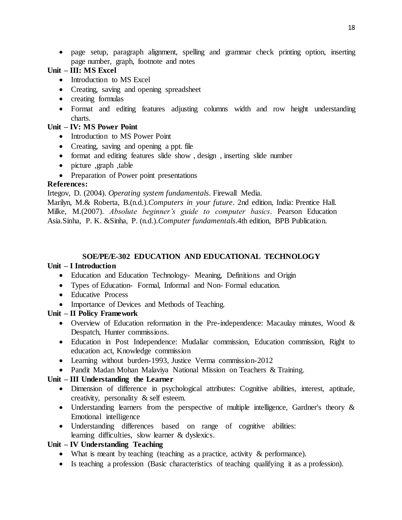page setup, paragraph alignment, spelling and grammar check printing option, inserting page number, graph, footnote and notes

## **Unit – III: MS Excel**

- Introduction to MS Excel
- Creating, saving and opening spreadsheet
- creating formulas
- Format and editing features adjusting columns width and row height understanding charts.

## **Unit – IV: MS Power Point**

- Introduction to MS Power Point
- Creating, saving and opening a ppt. file
- format and editing features slide show , design , inserting slide number
- picture ,graph ,table
- Preparation of Power point presentations

## **References:**

Irtegov, D. (2004). *Operating system fundamentals*. Firewall Media.

Marilyn, M.& Roberta, B.(n.d.).*Computers in your future*. 2nd edition, India: Prentice Hall. Milke, M.(2007). *Absolute beginner's guide to computer basics*. Pearson Education Asia.Sinha, P. K. &Sinha, P. (n.d.).*Computer fundamentals*.4th edition, BPB Publication.

#### **SOE/PE/E-302 EDUCATION AND EDUCATIONAL TECHNOLOGY**

## **Unit – I Introduction**

- Education and Education Technology- Meaning, Definitions and Origin
- Types of Education- Formal, Informal and Non- Formal education.
- Educative Process
- Importance of Devices and Methods of Teaching.

## **Unit – II Policy Framework**

- Overview of Education reformation in the Pre-independence: Macaulay minutes, Wood & Despatch, Hunter commissions.
- Education in Post Independence: Mudaliar commission, Education commission, Right to education act, Knowledge commission
- Learning without burden-1993, Justice Verma commission-2012
- Pandit Madan Mohan Malaviya National Mission on Teachers & Training.

## **Unit – III Understanding the Learner**

- Dimension of difference in psychological attributes: Cognitive abilities, interest, aptitude, creativity, personality & self esteem.
- Understanding learners from the perspective of multiple intelligence, Gardner's theory & Emotional intelligence
- Understanding differences based on range of cognitive abilities: learning difficulties, slow learner & dyslexics.

## **Unit – IV Understanding Teaching**

- What is meant by teaching (teaching as a practice, activity & performance).
- Is teaching a profession (Basic characteristics of teaching qualifying it as a profession).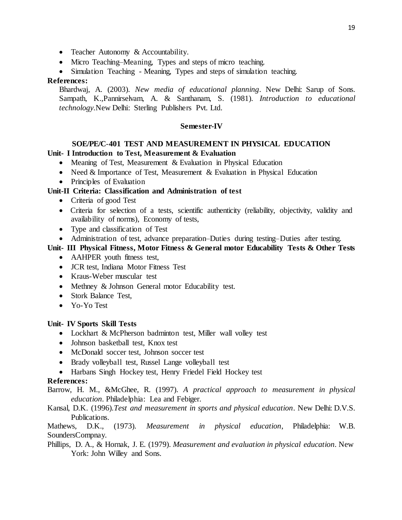- Teacher Autonomy & Accountability.
- Micro Teaching–Meaning, Types and steps of micro teaching.
- Simulation Teaching Meaning, Types and steps of simulation teaching.

#### **References:**

Bhardwaj, A. (2003). *New media of educational planning*. New Delhi: Sarup of Sons. Sampath, K.,Pannirselvam, A. & Santhanam, S. (1981). *Introduction to educational technology.*New Delhi: Sterling Publishers Pvt. Ltd.

#### **Semester-IV**

## **SOE/PE/C**-**401 TEST AND MEASUREMENT IN PHYSICAL EDUCATION**

## **Unit- I Introduction to Test, Measurement & Evaluation**

- Meaning of Test, Measurement  $&$  Evaluation in Physical Education
- Need  $&$  Importance of Test, Measurement  $&$  Evaluation in Physical Education
- Principles of Evaluation

## **Unit-II Criteria: Classification and Administration of test**

- Criteria of good Test
- Criteria for selection of a tests, scientific authenticity (reliability, objectivity, validity and availability of norms), Economy of tests,
- Type and classification of Test
- Administration of test, advance preparation–Duties during testing–Duties after testing.

## **Unit- III Physical Fitness, Motor Fitness & General motor Educability Tests & Other Tests**

- AAHPER youth fitness test,
- JCR test, Indiana Motor Fitness Test
- Kraus-Weber muscular test
- Methney & Johnson General motor Educability test.
- Stork Balance Test,
- Yo-Yo Test

#### **Unit- IV Sports Skill Tests**

- Lockhart & McPherson badminton test, Miller wall volley test
- Johnson basketball test, Knox test
- McDonald soccer test, Johnson soccer test
- Brady volleyball test, Russel Lange volleyball test
- Harbans Singh Hockey test, Henry Friedel Field Hockey test

#### **References:**

Barrow, H. M., &McGhee, R. (1997). *A practical approach to measurement in physical education*. Philadelphia: Lea and Febiger.

Kansal, D.K. (1996).*Test and measurement in sports and physical education*. New Delhi: D.V.S. Publications.

Mathews, D.K., (1973). *Measurement in physical education*, Philadelphia: W.B. SoundersCompnay.

Phillips, D. A., & Hornak, J. E. (1979). *Measurement and evaluation in physical education*. New York: John Willey and Sons.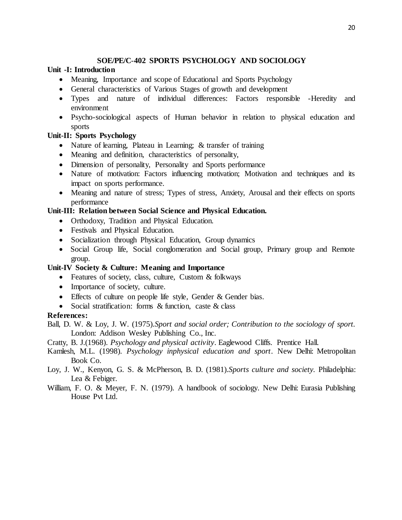## **SOE/PE/C**-**402 SPORTS PSYCHOLOGY AND SOCIOLOGY**

## **Unit -I: Introduction**

- Meaning, Importance and scope of Educational and Sports Psychology
- General characteristics of Various Stages of growth and development
- Types and nature of individual differences: Factors responsible -Heredity and environment
- Psycho-sociological aspects of Human behavior in relation to physical education and sports

## **Unit-II: Sports Psychology**

- Nature of learning, Plateau in Learning; & transfer of training
- Meaning and definition, characteristics of personality,
- Dimension of personality, Personality and Sports performance
- Nature of motivation: Factors influencing motivation; Motivation and techniques and its impact on sports performance.
- Meaning and nature of stress; Types of stress, Anxiety, Arousal and their effects on sports performance

## **Unit-III: Relation between Social Science and Physical Education.**

- Orthodoxy, Tradition and Physical Education.
- Festivals and Physical Education.
- Socialization through Physical Education, Group dynamics
- Social Group life, Social conglomeration and Social group, Primary group and Remote group.

## **Unit-IV Society & Culture: Meaning and Importance**

- Features of society, class, culture, Custom & folkways
- Importance of society, culture.
- Effects of culture on people life style, Gender & Gender bias.
- Social stratification: forms & function, caste & class

## **References:**

Ball, D. W. & Loy, J. W. (1975).*Sport and social order; Contribution to the sociology of sport.* London: Addison Wesley Publishing Co., Inc.

Cratty, B. J.(1968). *Psychology and physical activity*. Eaglewood Cliffs. Prentice Hall.

- Kamlesh, M.L. (1998). *Psychology inphysical education and sport*. New Delhi: Metropolitan Book Co.
- Loy, J. W., Kenyon, G. S. & McPherson, B. D. (1981).*Sports culture and society.* Philadelphia: Lea & Febiger.
- William, F. O. & Meyer, F. N. (1979). A handbook of sociology. New Delhi: Eurasia Publishing House Pvt Ltd.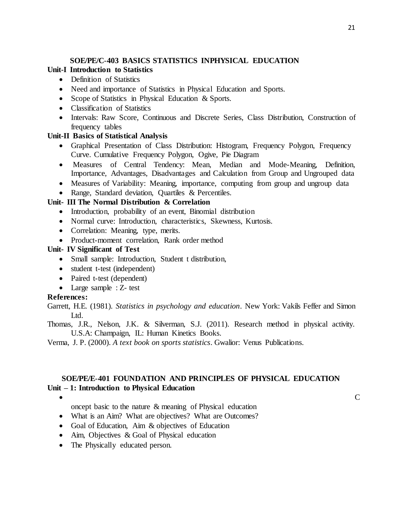## **SOE/PE/C**-**403 BASICS STATISTICS INPHYSICAL EDUCATION**

## **Unit-I Introduction to Statistics**

- Definition of Statistics
- Need and importance of Statistics in Physical Education and Sports.
- Scope of Statistics in Physical Education & Sports.
- Classification of Statistics
- Intervals: Raw Score, Continuous and Discrete Series, Class Distribution, Construction of frequency tables

## **Unit-II Basics of Statistical Analysis**

- Graphical Presentation of Class Distribution: Histogram, Frequency Polygon, Frequency Curve. Cumulative Frequency Polygon, Ogive, Pie Diagram
- Measures of Central Tendency: Mean, Median and Mode-Meaning, Definition, Importance, Advantages, Disadvantages and Calculation from Group and Ungrouped data
- Measures of Variability: Meaning, importance, computing from group and ungroup data
- Range, Standard deviation, Quartiles & Percentiles.

## **Unit- III The Normal Distribution & Correlation**

- Introduction, probability of an event, Binomial distribution
- Normal curve: Introduction, characteristics, Skewness, Kurtosis.
- Correlation: Meaning, type, merits.
- Product-moment correlation, Rank order method

## **Unit- IV Significant of Test**

- Small sample: Introduction, Student t distribution,
- student t-test (independent)
- Paired t-test (dependent)
- Large sample : Z- test

## **References:**

- Garrett, H.E. (1981). *Statistics in psychology and education*. New York: Vakils Feffer and Simon Ltd.
- Thomas, J.R., Nelson, J.K. & Silverman, S.J. (2011). Research method in physical activity. U.S.A: Champaign, IL: Human Kinetics Books.
- Verma, J. P. (2000). *A text book on sports statistics*. Gwalior: Venus Publications.

## **SOE/PE/E**-**401 FOUNDATION AND PRINCIPLES OF PHYSICAL EDUCATION Unit – 1: Introduction to Physical Education**

- $\bullet$  C
	- oncept basic to the nature & meaning of Physical education
	- What is an Aim? What are objectives? What are Outcomes?
	- Goal of Education, Aim & objectives of Education
	- Aim, Objectives & Goal of Physical education
	- The Physically educated person.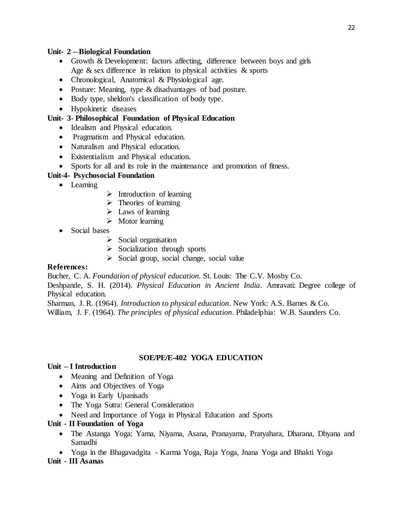## **Unit- 2 – Biological Foundation**

- Growth & Development: factors affecting, difference between boys and girls Age & sex difference in relation to physical activities & sports
- Chronological, Anatomical & Physiological age.
- Posture: Meaning, type & disadvantages of bad posture.
- Body type, sheldon's classification of body type.
- Hypokinetic diseases

## **Unit- 3- Philosophical Foundation of Physical Education**

- Idealism and Physical education.
- Pragmatism and Physical education.
- Naturalism and Physical education.
- Existentialism and Physical education.
- Sports for all and its role in the maintenance and promotion of fitness.

## **Unit-4- Psychosocial Foundation**

- Learning
- $\triangleright$  Introduction of learning
- $\triangleright$  Theories of learning
- $\triangleright$  Laws of learning
- $\triangleright$  Motor learning
- Social bases
	- $\triangleright$  Social organisation
	- $\triangleright$  Socialization through sports
	- $\triangleright$  Social group, social change, social value

## **References:**

Bucher, C. A. *Foundation of physical education.* St. Louis: The C.V. Mosby Co.

Deshpande, S. H. (2014). *Physical Education in Ancient India*. Amravati: Degree college of Physical education.

Sharman, J. R. (1964). *Introduction to physical education*. New York: A.S. Barnes & Co. William, J. F. (1964). *The principles of physical education*. Philadelphia: W.B. Saunders Co.

## **SOE/PE/E-402 YOGA EDUCATION**

## **Unit – I Introduction**

- Meaning and Definition of Yoga
- Aims and Objectives of Yoga
- Yoga in Early Upanisads
- The Yoga Sutra: General Consideration
- Need and Importance of Yoga in Physical Education and Sports

## **Unit - II Foundation of Yoga**

- The Astanga Yoga: Yama, Niyama, Asana, Pranayama, Pratyahara, Dharana, Dhyana and Samadhi
- Yoga in the Bhagavadgita Karma Yoga, Raja Yoga, Jnana Yoga and Bhakti Yoga

## **Unit - III Asanas**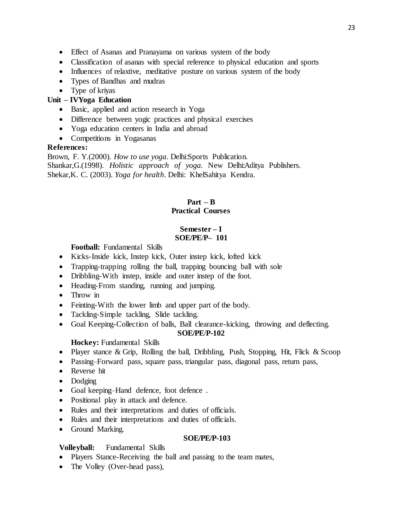- Effect of Asanas and Pranayama on various system of the body
- Classification of asanas with special reference to physical education and sports
- Influences of relaxtive, meditative posture on various system of the body
- Types of Bandhas and mudras
- Type of kriyas

## **Unit – IVYoga Education**

- Basic, applied and action research in Yoga
- Difference between yogic practices and physical exercises
- Yoga education centers in India and abroad
- Competitions in Yogasanas

## **References:**

Brown, F. Y.(2000). *How to use yoga*. Delhi:Sports Publication. Shankar,G.(1998). *Holistic approach of yoga.* New Delhi:Aditya Publishers. Shekar,K. C. (2003). *Yoga for health*. Delhi: KhelSahitya Kendra.

## **Part – B Practical Courses**

#### **Semester – I SOE/PE**/**P– 101**

## **Football:** Fundamental Skills

- Kicks-Inside kick, Instep kick, Outer instep kick, lofted kick
- Trapping-trapping rolling the ball, trapping bouncing ball with sole
- Dribbling-With instep, inside and outer instep of the foot.
- Heading-From standing, running and jumping.
- Throw in
- Feinting-With the lower limb and upper part of the body.
- Tackling-Simple tackling, Slide tackling.
- Goal Keeping-Collection of balls, Ball clearance-kicking, throwing and deflecting. **SOE/PE**/**P-102**

## **Hockey:** Fundamental Skills

- Player stance & Grip, Rolling the ball, Dribbling, Push, Stopping, Hit, Flick & Scoop
- Passing–Forward pass, square pass, triangular pass, diagonal pass, return pass,
- Reverse hit
- Dodging
- Goal keeping–Hand defence, foot defence .
- Positional play in attack and defence.
- Rules and their interpretations and duties of officials.
- Rules and their interpretations and duties of officials.
- Ground Marking.

#### **SOE/PE/P-103**

## **Volleyball:** Fundamental Skills

- Players Stance-Receiving the ball and passing to the team mates,
- The Volley (Over-head pass),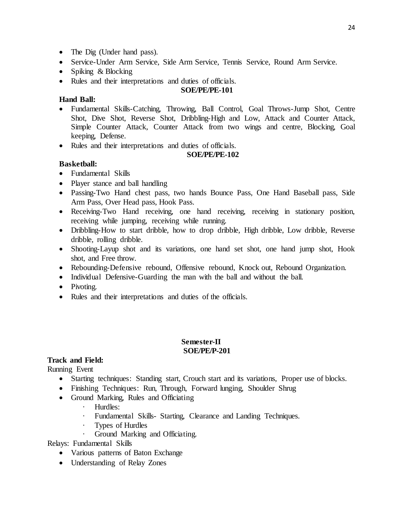- The Dig (Under hand pass).
- Service-Under Arm Service, Side Arm Service, Tennis Service, Round Arm Service.
- Spiking & Blocking
- Rules and their interpretations and duties of officials.

#### **SOE/PE/PE-101**

#### **Hand Ball:**

- Fundamental Skills-Catching, Throwing, Ball Control, Goal Throws-Jump Shot, Centre Shot, Dive Shot, Reverse Shot, Dribbling-High and Low, Attack and Counter Attack, Simple Counter Attack, Counter Attack from two wings and centre, Blocking, Goal keeping, Defense.
- Rules and their interpretations and duties of officials.

#### **SOE/PE/PE-102**

#### **Basketball:**

- Fundamental Skills
- Player stance and ball handling
- Passing-Two Hand chest pass, two hands Bounce Pass, One Hand Baseball pass, Side Arm Pass, Over Head pass, Hook Pass.
- Receiving-Two Hand receiving, one hand receiving, receiving in stationary position, receiving while jumping, receiving while running.
- Dribbling-How to start dribble, how to drop dribble, High dribble, Low dribble, Reverse dribble, rolling dribble.
- Shooting-Layup shot and its variations, one hand set shot, one hand jump shot, Hook shot, and Free throw.
- Rebounding-Defensive rebound, Offensive rebound, Knock out, Rebound Organization.
- Individual Defensive-Guarding the man with the ball and without the ball.
- Pivoting.
- Rules and their interpretations and duties of the officials.

#### **Semester-II SOE/PE/P-201**

#### **Track and Field:**

Running Event

- Starting techniques: Standing start, Crouch start and its variations, Proper use of blocks.
- Finishing Techniques: Run, Through, Forward lunging, Shoulder Shrug
- Ground Marking, Rules and Officiating
	- · Hurdles:
	- · Fundamental Skills- Starting, Clearance and Landing Techniques.
	- · Types of Hurdles
	- · Ground Marking and Officiating.

Relays: Fundamental Skills

- Various patterns of Baton Exchange
- Understanding of Relay Zones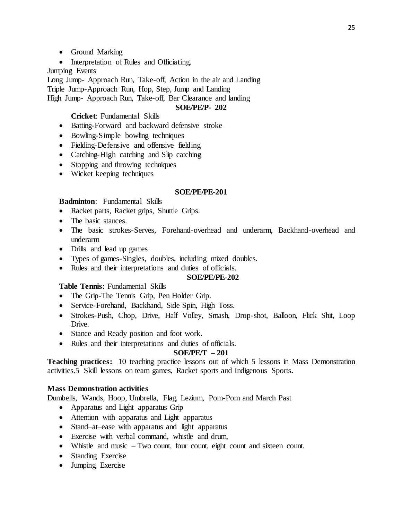- Ground Marking
- Interpretation of Rules and Officiating.

## Jumping Events

Long Jump- Approach Run, Take-off, Action in the air and Landing

Triple Jump-Approach Run, Hop, Step, Jump and Landing

## High Jump- Approach Run, Take-off, Bar Clearance and landing

## **SOE/PE/P- 202**

## **Cricket**: Fundamental Skills

- Batting-Forward and backward defensive stroke
- Bowling-Simple bowling techniques
- Fielding-Defensive and offensive fielding
- Catching-High catching and Slip catching
- Stopping and throwing techniques
- Wicket keeping techniques

#### **SOE/PE/PE-201**

#### **Badminton**: Fundamental Skills

- Racket parts, Racket grips, Shuttle Grips.
- The basic stances.
- The basic strokes-Serves, Forehand-overhead and underarm, Backhand-overhead and underarm
- Drills and lead up games
- Types of games-Singles, doubles, including mixed doubles.
- Rules and their interpretations and duties of officials.

## **SOE/PE/PE-202**

## **Table Tennis**: Fundamental Skills

- The Grip-The Tennis Grip, Pen Holder Grip.
- Service-Forehand, Backhand, Side Spin, High Toss.
- Strokes-Push, Chop, Drive, Half Volley, Smash, Drop-shot, Balloon, Flick Shit, Loop Drive.
- Stance and Ready position and foot work.
- Rules and their interpretations and duties of officials.

## **SOE/PE/T – 201**

**Teaching practices:** 10 teaching practice lessons out of which 5 lessons in Mass Demonstration activities.5 Skill lessons on team games, Racket sports and Indigenous Sports**.**

## **Mass Demonstration activities**

Dumbells, Wands, Hoop, Umbrella, Flag, Lezium, Pom-Pom and March Past

- Apparatus and Light apparatus Grip
- Attention with apparatus and Light apparatus
- Stand–at–ease with apparatus and light apparatus
- Exercise with verbal command, whistle and drum,
- Whistle and music Two count, four count, eight count and sixteen count.
- Standing Exercise
- Jumping Exercise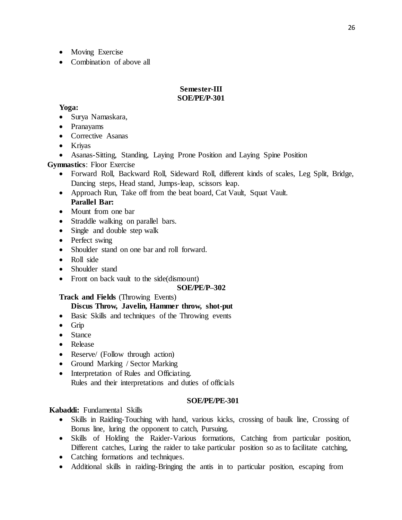- Moving Exercise
- Combination of above all

#### **Semester-III SOE/PE/P-301**

## **Yoga:**

- Surya Namaskara,
- Pranayams
- Corrective Asanas
- Kriyas
- Asanas-Sitting, Standing, Laying Prone Position and Laying Spine Position

**Gymnastics**: Floor Exercise

- Forward Roll, Backward Roll, Sideward Roll, different kinds of scales, Leg Split, Bridge, Dancing steps, Head stand, Jumps-leap, scissors leap.
- Approach Run, Take off from the beat board, Cat Vault, Squat Vault.
- **Parallel Bar:**
- Mount from one bar
- Straddle walking on parallel bars.
- Single and double step walk
- Perfect swing
- Shoulder stand on one bar and roll forward.
- Roll side
- Shoulder stand
- Front on back vault to the side(dismount)

## **SOE/PE**/**P–302**

## **Track and Fields** (Throwing Events)

## **Discus Throw, Javelin, Hammer throw, shot-put**

- Basic Skills and techniques of the Throwing events
- Grip
- Stance
- Release
- Reserve/ (Follow through action)
- Ground Marking / Sector Marking
- Interpretation of Rules and Officiating. Rules and their interpretations and duties of officials

## **SOE/PE/PE-301**

**Kabaddi:** Fundamental Skills

- Skills in Raiding-Touching with hand, various kicks, crossing of baulk line, Crossing of Bonus line, luring the opponent to catch, Pursuing.
- Skills of Holding the Raider-Various formations, Catching from particular position, Different catches, Luring the raider to take particular position so as to facilitate catching,
- Catching formations and techniques.
- Additional skills in raiding-Bringing the antis in to particular position, escaping from